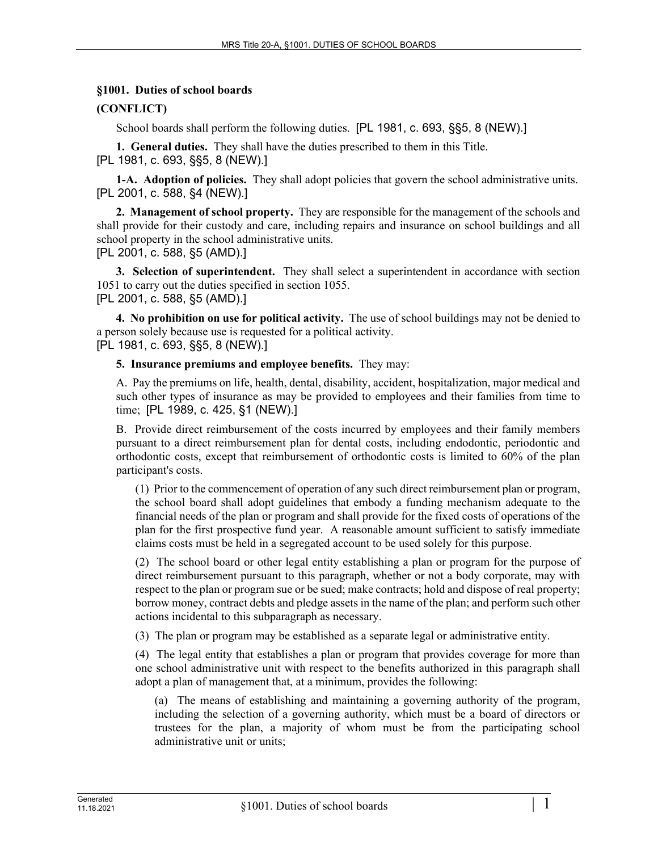## **§1001. Duties of school boards**

## **(CONFLICT)**

School boards shall perform the following duties. [PL 1981, c. 693, §§5, 8 (NEW).]

**1. General duties.** They shall have the duties prescribed to them in this Title. [PL 1981, c. 693, §§5, 8 (NEW).]

**1-A. Adoption of policies.** They shall adopt policies that govern the school administrative units. [PL 2001, c. 588, §4 (NEW).]

**2. Management of school property.** They are responsible for the management of the schools and shall provide for their custody and care, including repairs and insurance on school buildings and all school property in the school administrative units. [PL 2001, c. 588, §5 (AMD).]

**3. Selection of superintendent.** They shall select a superintendent in accordance with section 1051 to carry out the duties specified in section 1055.

[PL 2001, c. 588, §5 (AMD).]

**4. No prohibition on use for political activity.** The use of school buildings may not be denied to a person solely because use is requested for a political activity. [PL 1981, c. 693, §§5, 8 (NEW).]

**5. Insurance premiums and employee benefits.** They may:

A. Pay the premiums on life, health, dental, disability, accident, hospitalization, major medical and such other types of insurance as may be provided to employees and their families from time to time; [PL 1989, c. 425, §1 (NEW).]

B. Provide direct reimbursement of the costs incurred by employees and their family members pursuant to a direct reimbursement plan for dental costs, including endodontic, periodontic and orthodontic costs, except that reimbursement of orthodontic costs is limited to 60% of the plan participant's costs.

(1) Prior to the commencement of operation of any such direct reimbursement plan or program, the school board shall adopt guidelines that embody a funding mechanism adequate to the financial needs of the plan or program and shall provide for the fixed costs of operations of the plan for the first prospective fund year. A reasonable amount sufficient to satisfy immediate claims costs must be held in a segregated account to be used solely for this purpose.

(2) The school board or other legal entity establishing a plan or program for the purpose of direct reimbursement pursuant to this paragraph, whether or not a body corporate, may with respect to the plan or program sue or be sued; make contracts; hold and dispose of real property; borrow money, contract debts and pledge assets in the name of the plan; and perform such other actions incidental to this subparagraph as necessary.

(3) The plan or program may be established as a separate legal or administrative entity.

(4) The legal entity that establishes a plan or program that provides coverage for more than one school administrative unit with respect to the benefits authorized in this paragraph shall adopt a plan of management that, at a minimum, provides the following:

(a) The means of establishing and maintaining a governing authority of the program, including the selection of a governing authority, which must be a board of directors or trustees for the plan, a majority of whom must be from the participating school administrative unit or units;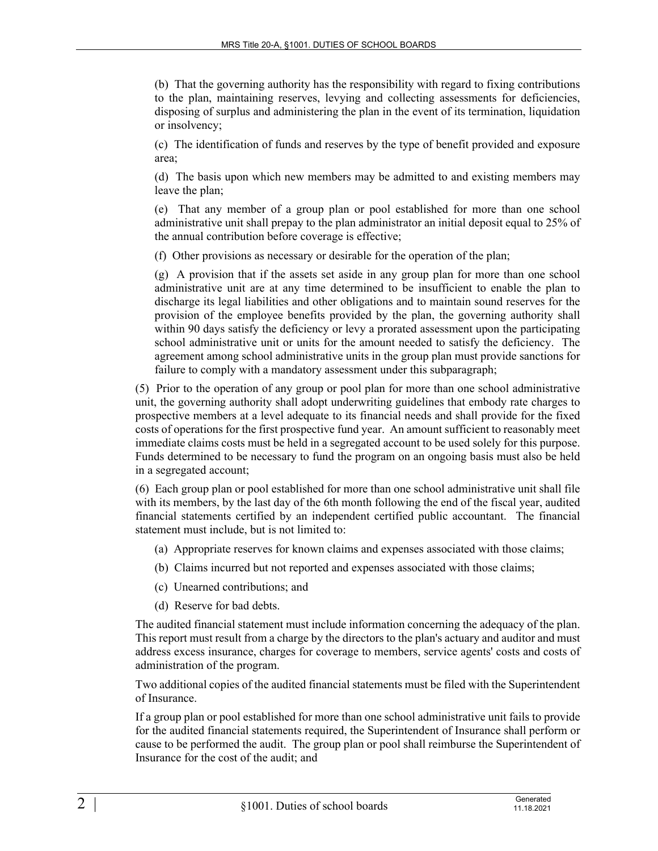(b) That the governing authority has the responsibility with regard to fixing contributions to the plan, maintaining reserves, levying and collecting assessments for deficiencies, disposing of surplus and administering the plan in the event of its termination, liquidation or insolvency;

(c) The identification of funds and reserves by the type of benefit provided and exposure area;

(d) The basis upon which new members may be admitted to and existing members may leave the plan;

(e) That any member of a group plan or pool established for more than one school administrative unit shall prepay to the plan administrator an initial deposit equal to 25% of the annual contribution before coverage is effective;

(f) Other provisions as necessary or desirable for the operation of the plan;

(g) A provision that if the assets set aside in any group plan for more than one school administrative unit are at any time determined to be insufficient to enable the plan to discharge its legal liabilities and other obligations and to maintain sound reserves for the provision of the employee benefits provided by the plan, the governing authority shall within 90 days satisfy the deficiency or levy a prorated assessment upon the participating school administrative unit or units for the amount needed to satisfy the deficiency. The agreement among school administrative units in the group plan must provide sanctions for failure to comply with a mandatory assessment under this subparagraph;

(5) Prior to the operation of any group or pool plan for more than one school administrative unit, the governing authority shall adopt underwriting guidelines that embody rate charges to prospective members at a level adequate to its financial needs and shall provide for the fixed costs of operations for the first prospective fund year. An amount sufficient to reasonably meet immediate claims costs must be held in a segregated account to be used solely for this purpose. Funds determined to be necessary to fund the program on an ongoing basis must also be held in a segregated account;

(6) Each group plan or pool established for more than one school administrative unit shall file with its members, by the last day of the 6th month following the end of the fiscal year, audited financial statements certified by an independent certified public accountant. The financial statement must include, but is not limited to:

- (a) Appropriate reserves for known claims and expenses associated with those claims;
- (b) Claims incurred but not reported and expenses associated with those claims;
- (c) Unearned contributions; and
- (d) Reserve for bad debts.

The audited financial statement must include information concerning the adequacy of the plan. This report must result from a charge by the directors to the plan's actuary and auditor and must address excess insurance, charges for coverage to members, service agents' costs and costs of administration of the program.

Two additional copies of the audited financial statements must be filed with the Superintendent of Insurance.

If a group plan or pool established for more than one school administrative unit fails to provide for the audited financial statements required, the Superintendent of Insurance shall perform or cause to be performed the audit. The group plan or pool shall reimburse the Superintendent of Insurance for the cost of the audit; and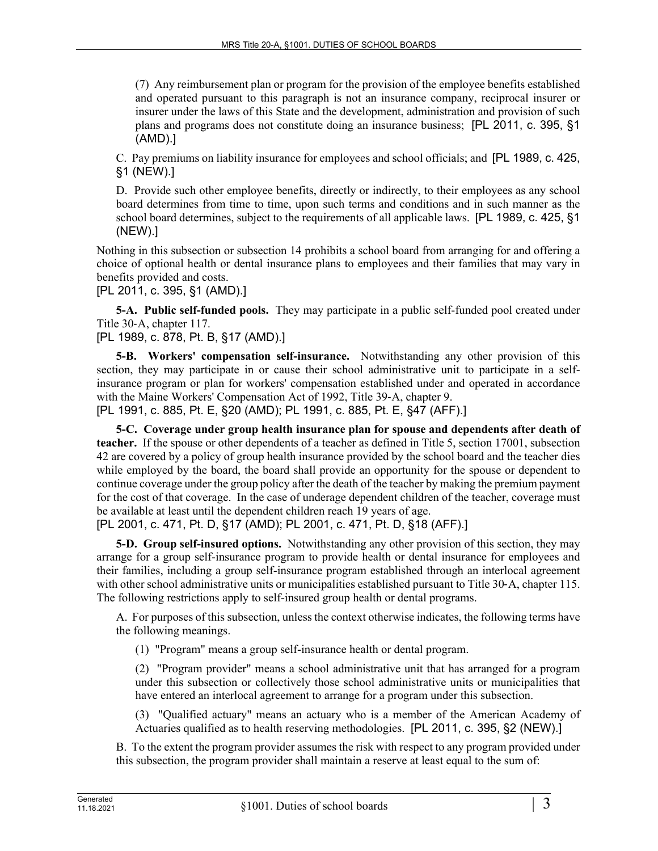(7) Any reimbursement plan or program for the provision of the employee benefits established and operated pursuant to this paragraph is not an insurance company, reciprocal insurer or insurer under the laws of this State and the development, administration and provision of such plans and programs does not constitute doing an insurance business; [PL 2011, c. 395, §1 (AMD).]

C. Pay premiums on liability insurance for employees and school officials; and [PL 1989, c. 425, §1 (NEW).]

D. Provide such other employee benefits, directly or indirectly, to their employees as any school board determines from time to time, upon such terms and conditions and in such manner as the school board determines, subject to the requirements of all applicable laws. [PL 1989, c. 425, §1 (NEW).]

Nothing in this subsection or subsection 14 prohibits a school board from arranging for and offering a choice of optional health or dental insurance plans to employees and their families that may vary in benefits provided and costs.

[PL 2011, c. 395, §1 (AMD).]

**5-A. Public self-funded pools.** They may participate in a public self-funded pool created under Title 30‑A, chapter 117.

[PL 1989, c. 878, Pt. B, §17 (AMD).]

**5-B. Workers' compensation self-insurance.** Notwithstanding any other provision of this section, they may participate in or cause their school administrative unit to participate in a selfinsurance program or plan for workers' compensation established under and operated in accordance with the Maine Workers' Compensation Act of 1992, Title 39-A, chapter 9. [PL 1991, c. 885, Pt. E, §20 (AMD); PL 1991, c. 885, Pt. E, §47 (AFF).]

**5-C. Coverage under group health insurance plan for spouse and dependents after death of teacher.** If the spouse or other dependents of a teacher as defined in Title 5, section 17001, subsection 42 are covered by a policy of group health insurance provided by the school board and the teacher dies while employed by the board, the board shall provide an opportunity for the spouse or dependent to continue coverage under the group policy after the death of the teacher by making the premium payment for the cost of that coverage. In the case of underage dependent children of the teacher, coverage must be available at least until the dependent children reach 19 years of age.

[PL 2001, c. 471, Pt. D, §17 (AMD); PL 2001, c. 471, Pt. D, §18 (AFF).]

**5-D. Group self-insured options.** Notwithstanding any other provision of this section, they may arrange for a group self-insurance program to provide health or dental insurance for employees and their families, including a group self-insurance program established through an interlocal agreement with other school administrative units or municipalities established pursuant to Title 30-A, chapter 115. The following restrictions apply to self-insured group health or dental programs.

A. For purposes of this subsection, unless the context otherwise indicates, the following terms have the following meanings.

(1) "Program" means a group self-insurance health or dental program.

(2) "Program provider" means a school administrative unit that has arranged for a program under this subsection or collectively those school administrative units or municipalities that have entered an interlocal agreement to arrange for a program under this subsection.

(3) "Qualified actuary" means an actuary who is a member of the American Academy of Actuaries qualified as to health reserving methodologies. [PL 2011, c. 395, §2 (NEW).]

B. To the extent the program provider assumes the risk with respect to any program provided under this subsection, the program provider shall maintain a reserve at least equal to the sum of: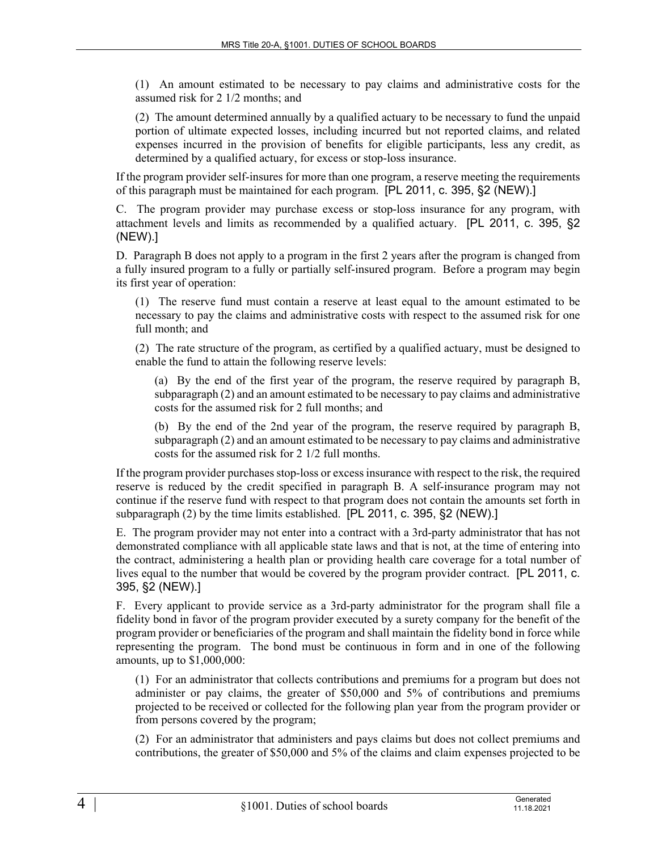(1) An amount estimated to be necessary to pay claims and administrative costs for the assumed risk for 2 1/2 months; and

(2) The amount determined annually by a qualified actuary to be necessary to fund the unpaid portion of ultimate expected losses, including incurred but not reported claims, and related expenses incurred in the provision of benefits for eligible participants, less any credit, as determined by a qualified actuary, for excess or stop-loss insurance.

If the program provider self-insures for more than one program, a reserve meeting the requirements of this paragraph must be maintained for each program. [PL 2011, c. 395, §2 (NEW).]

C. The program provider may purchase excess or stop-loss insurance for any program, with attachment levels and limits as recommended by a qualified actuary. [PL 2011, c. 395, §2 (NEW).]

D. Paragraph B does not apply to a program in the first 2 years after the program is changed from a fully insured program to a fully or partially self-insured program. Before a program may begin its first year of operation:

(1) The reserve fund must contain a reserve at least equal to the amount estimated to be necessary to pay the claims and administrative costs with respect to the assumed risk for one full month; and

(2) The rate structure of the program, as certified by a qualified actuary, must be designed to enable the fund to attain the following reserve levels:

(a) By the end of the first year of the program, the reserve required by paragraph B, subparagraph (2) and an amount estimated to be necessary to pay claims and administrative costs for the assumed risk for 2 full months; and

(b) By the end of the 2nd year of the program, the reserve required by paragraph B, subparagraph (2) and an amount estimated to be necessary to pay claims and administrative costs for the assumed risk for 2 1/2 full months.

If the program provider purchases stop-loss or excess insurance with respect to the risk, the required reserve is reduced by the credit specified in paragraph B. A self-insurance program may not continue if the reserve fund with respect to that program does not contain the amounts set forth in subparagraph (2) by the time limits established. [PL 2011, c. 395, §2 (NEW).]

E. The program provider may not enter into a contract with a 3rd-party administrator that has not demonstrated compliance with all applicable state laws and that is not, at the time of entering into the contract, administering a health plan or providing health care coverage for a total number of lives equal to the number that would be covered by the program provider contract. [PL 2011, c. 395, §2 (NEW).]

F. Every applicant to provide service as a 3rd-party administrator for the program shall file a fidelity bond in favor of the program provider executed by a surety company for the benefit of the program provider or beneficiaries of the program and shall maintain the fidelity bond in force while representing the program. The bond must be continuous in form and in one of the following amounts, up to \$1,000,000:

(1) For an administrator that collects contributions and premiums for a program but does not administer or pay claims, the greater of \$50,000 and 5% of contributions and premiums projected to be received or collected for the following plan year from the program provider or from persons covered by the program;

(2) For an administrator that administers and pays claims but does not collect premiums and contributions, the greater of \$50,000 and 5% of the claims and claim expenses projected to be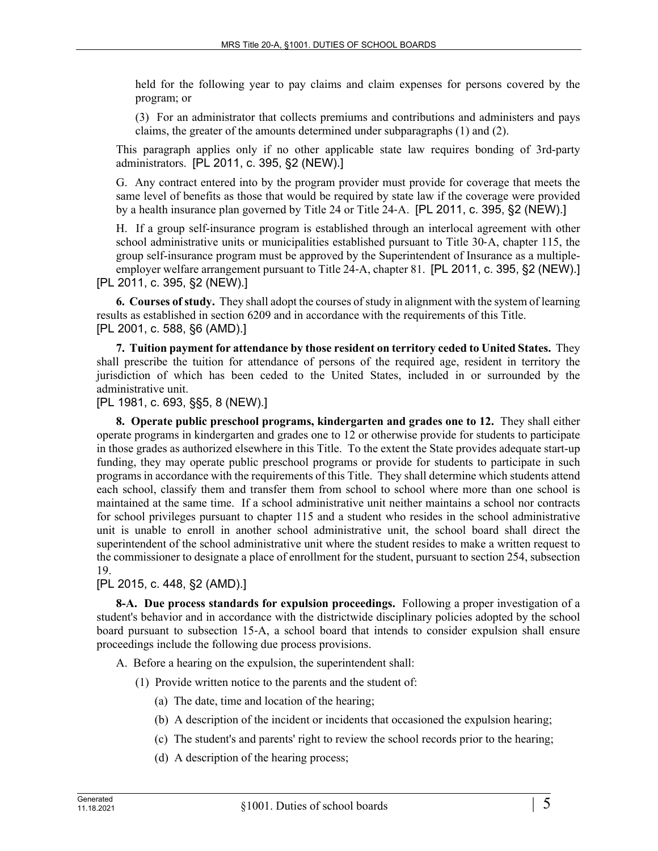held for the following year to pay claims and claim expenses for persons covered by the program; or

(3) For an administrator that collects premiums and contributions and administers and pays claims, the greater of the amounts determined under subparagraphs (1) and (2).

This paragraph applies only if no other applicable state law requires bonding of 3rd-party administrators. [PL 2011, c. 395, §2 (NEW).]

G. Any contract entered into by the program provider must provide for coverage that meets the same level of benefits as those that would be required by state law if the coverage were provided by a health insurance plan governed by Title 24 or Title 24–A. [PL 2011, c. 395, §2 (NEW).]

H. If a group self-insurance program is established through an interlocal agreement with other school administrative units or municipalities established pursuant to Title 30‑A, chapter 115, the group self-insurance program must be approved by the Superintendent of Insurance as a multipleemployer welfare arrangement pursuant to Title 24-A, chapter 81. [PL 2011, c. 395, §2 (NEW).] [PL 2011, c. 395, §2 (NEW).]

**6. Courses of study.** They shall adopt the courses of study in alignment with the system of learning results as established in section 6209 and in accordance with the requirements of this Title. [PL 2001, c. 588, §6 (AMD).]

**7. Tuition payment for attendance by those resident on territory ceded to United States.** They shall prescribe the tuition for attendance of persons of the required age, resident in territory the jurisdiction of which has been ceded to the United States, included in or surrounded by the administrative unit.

[PL 1981, c. 693, §§5, 8 (NEW).]

**8. Operate public preschool programs, kindergarten and grades one to 12.** They shall either operate programs in kindergarten and grades one to 12 or otherwise provide for students to participate in those grades as authorized elsewhere in this Title. To the extent the State provides adequate start-up funding, they may operate public preschool programs or provide for students to participate in such programs in accordance with the requirements of this Title. They shall determine which students attend each school, classify them and transfer them from school to school where more than one school is maintained at the same time. If a school administrative unit neither maintains a school nor contracts for school privileges pursuant to chapter 115 and a student who resides in the school administrative unit is unable to enroll in another school administrative unit, the school board shall direct the superintendent of the school administrative unit where the student resides to make a written request to the commissioner to designate a place of enrollment for the student, pursuant to section 254, subsection 19.

[PL 2015, c. 448, §2 (AMD).]

**8-A. Due process standards for expulsion proceedings.** Following a proper investigation of a student's behavior and in accordance with the districtwide disciplinary policies adopted by the school board pursuant to subsection 15‑A, a school board that intends to consider expulsion shall ensure proceedings include the following due process provisions.

A. Before a hearing on the expulsion, the superintendent shall:

- (1) Provide written notice to the parents and the student of:
	- (a) The date, time and location of the hearing;
	- (b) A description of the incident or incidents that occasioned the expulsion hearing;
	- (c) The student's and parents' right to review the school records prior to the hearing;
	- (d) A description of the hearing process;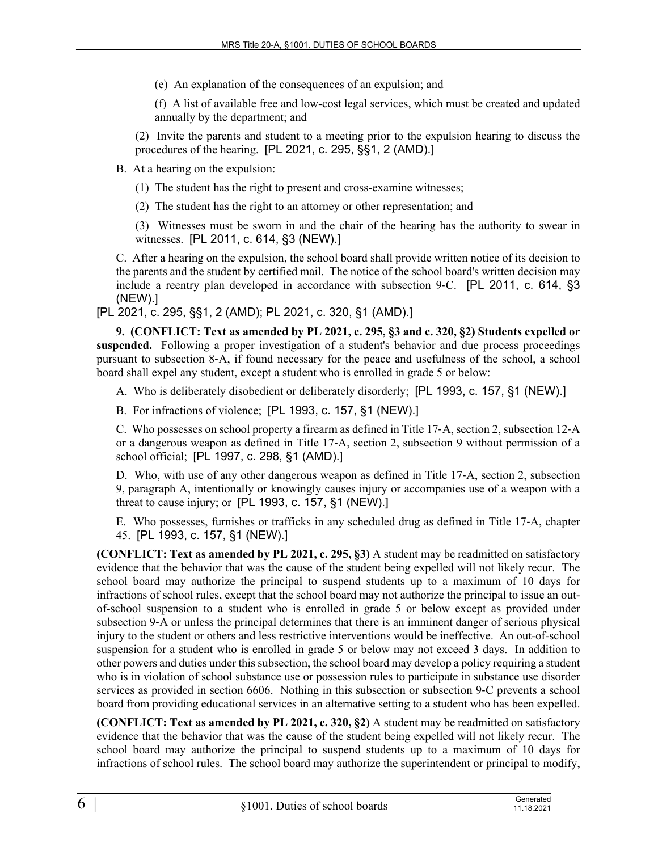(e) An explanation of the consequences of an expulsion; and

(f) A list of available free and low-cost legal services, which must be created and updated annually by the department; and

(2) Invite the parents and student to a meeting prior to the expulsion hearing to discuss the procedures of the hearing. [PL 2021, c. 295, §§1, 2 (AMD).]

B. At a hearing on the expulsion:

(1) The student has the right to present and cross-examine witnesses;

(2) The student has the right to an attorney or other representation; and

(3) Witnesses must be sworn in and the chair of the hearing has the authority to swear in witnesses. [PL 2011, c. 614, §3 (NEW).]

C. After a hearing on the expulsion, the school board shall provide written notice of its decision to the parents and the student by certified mail. The notice of the school board's written decision may include a reentry plan developed in accordance with subsection 9–C. [PL 2011, c. 614, §3 (NEW).]

[PL 2021, c. 295, §§1, 2 (AMD); PL 2021, c. 320, §1 (AMD).]

**9. (CONFLICT: Text as amended by PL 2021, c. 295, §3 and c. 320, §2) Students expelled or suspended.** Following a proper investigation of a student's behavior and due process proceedings pursuant to subsection 8‑A, if found necessary for the peace and usefulness of the school, a school board shall expel any student, except a student who is enrolled in grade 5 or below:

A. Who is deliberately disobedient or deliberately disorderly; [PL 1993, c. 157, §1 (NEW).]

B. For infractions of violence; [PL 1993, c. 157, §1 (NEW).]

C. Who possesses on school property a firearm as defined in Title 17‑A, section 2, subsection 12‑A or a dangerous weapon as defined in Title 17‑A, section 2, subsection 9 without permission of a school official; [PL 1997, c. 298, §1 (AMD).]

D. Who, with use of any other dangerous weapon as defined in Title 17‑A, section 2, subsection 9, paragraph A, intentionally or knowingly causes injury or accompanies use of a weapon with a threat to cause injury; or [PL 1993, c. 157, §1 (NEW).]

E. Who possesses, furnishes or trafficks in any scheduled drug as defined in Title 17‑A, chapter 45. [PL 1993, c. 157, §1 (NEW).]

**(CONFLICT: Text as amended by PL 2021, c. 295, §3)** A student may be readmitted on satisfactory evidence that the behavior that was the cause of the student being expelled will not likely recur. The school board may authorize the principal to suspend students up to a maximum of 10 days for infractions of school rules, except that the school board may not authorize the principal to issue an outof-school suspension to a student who is enrolled in grade 5 or below except as provided under subsection 9–A or unless the principal determines that there is an imminent danger of serious physical injury to the student or others and less restrictive interventions would be ineffective. An out-of-school suspension for a student who is enrolled in grade 5 or below may not exceed 3 days. In addition to other powers and duties under this subsection, the school board may develop a policy requiring a student who is in violation of school substance use or possession rules to participate in substance use disorder services as provided in section 6606. Nothing in this subsection or subsection 9‑C prevents a school board from providing educational services in an alternative setting to a student who has been expelled.

**(CONFLICT: Text as amended by PL 2021, c. 320, §2)** A student may be readmitted on satisfactory evidence that the behavior that was the cause of the student being expelled will not likely recur. The school board may authorize the principal to suspend students up to a maximum of 10 days for infractions of school rules. The school board may authorize the superintendent or principal to modify,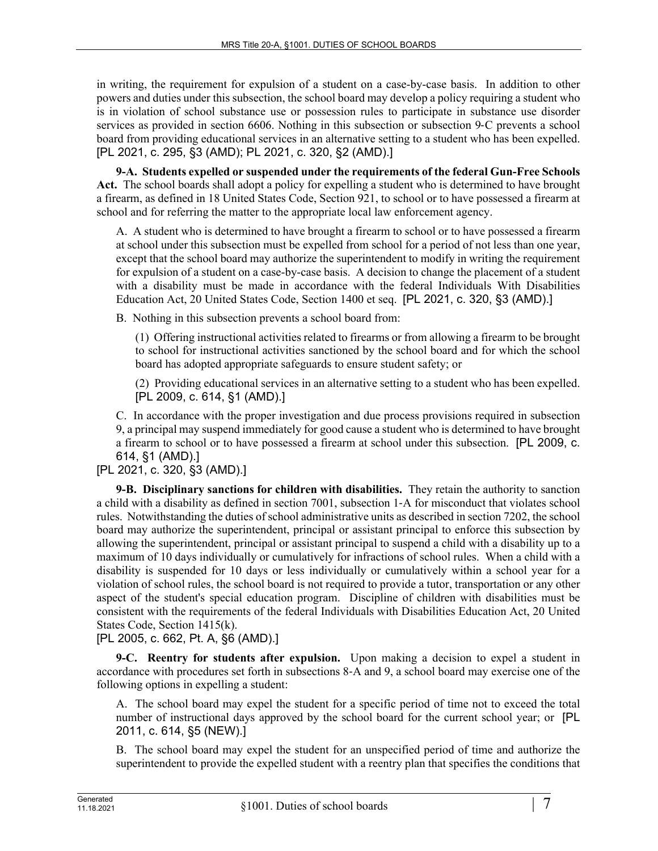in writing, the requirement for expulsion of a student on a case-by-case basis. In addition to other powers and duties under this subsection, the school board may develop a policy requiring a student who is in violation of school substance use or possession rules to participate in substance use disorder services as provided in section 6606. Nothing in this subsection or subsection 9‑C prevents a school board from providing educational services in an alternative setting to a student who has been expelled. [PL 2021, c. 295, §3 (AMD); PL 2021, c. 320, §2 (AMD).]

**9-A. Students expelled or suspended under the requirements of the federal Gun-Free Schools Act.** The school boards shall adopt a policy for expelling a student who is determined to have brought a firearm, as defined in 18 United States Code, Section 921, to school or to have possessed a firearm at school and for referring the matter to the appropriate local law enforcement agency.

A. A student who is determined to have brought a firearm to school or to have possessed a firearm at school under this subsection must be expelled from school for a period of not less than one year, except that the school board may authorize the superintendent to modify in writing the requirement for expulsion of a student on a case-by-case basis. A decision to change the placement of a student with a disability must be made in accordance with the federal Individuals With Disabilities Education Act, 20 United States Code, Section 1400 et seq. [PL 2021, c. 320, §3 (AMD).]

B. Nothing in this subsection prevents a school board from:

(1) Offering instructional activities related to firearms or from allowing a firearm to be brought to school for instructional activities sanctioned by the school board and for which the school board has adopted appropriate safeguards to ensure student safety; or

(2) Providing educational services in an alternative setting to a student who has been expelled. [PL 2009, c. 614, §1 (AMD).]

C. In accordance with the proper investigation and due process provisions required in subsection 9, a principal may suspend immediately for good cause a student who is determined to have brought a firearm to school or to have possessed a firearm at school under this subsection. [PL 2009, c. 614, §1 (AMD).]

[PL 2021, c. 320, §3 (AMD).]

**9-B. Disciplinary sanctions for children with disabilities.** They retain the authority to sanction a child with a disability as defined in section 7001, subsection 1‑A for misconduct that violates school rules. Notwithstanding the duties of school administrative units as described in section 7202, the school board may authorize the superintendent, principal or assistant principal to enforce this subsection by allowing the superintendent, principal or assistant principal to suspend a child with a disability up to a maximum of 10 days individually or cumulatively for infractions of school rules. When a child with a disability is suspended for 10 days or less individually or cumulatively within a school year for a violation of school rules, the school board is not required to provide a tutor, transportation or any other aspect of the student's special education program. Discipline of children with disabilities must be consistent with the requirements of the federal Individuals with Disabilities Education Act, 20 United States Code, Section 1415(k).

[PL 2005, c. 662, Pt. A, §6 (AMD).]

**9-C. Reentry for students after expulsion.** Upon making a decision to expel a student in accordance with procedures set forth in subsections 8‑A and 9, a school board may exercise one of the following options in expelling a student:

A. The school board may expel the student for a specific period of time not to exceed the total number of instructional days approved by the school board for the current school year; or [PL 2011, c. 614, §5 (NEW).]

B. The school board may expel the student for an unspecified period of time and authorize the superintendent to provide the expelled student with a reentry plan that specifies the conditions that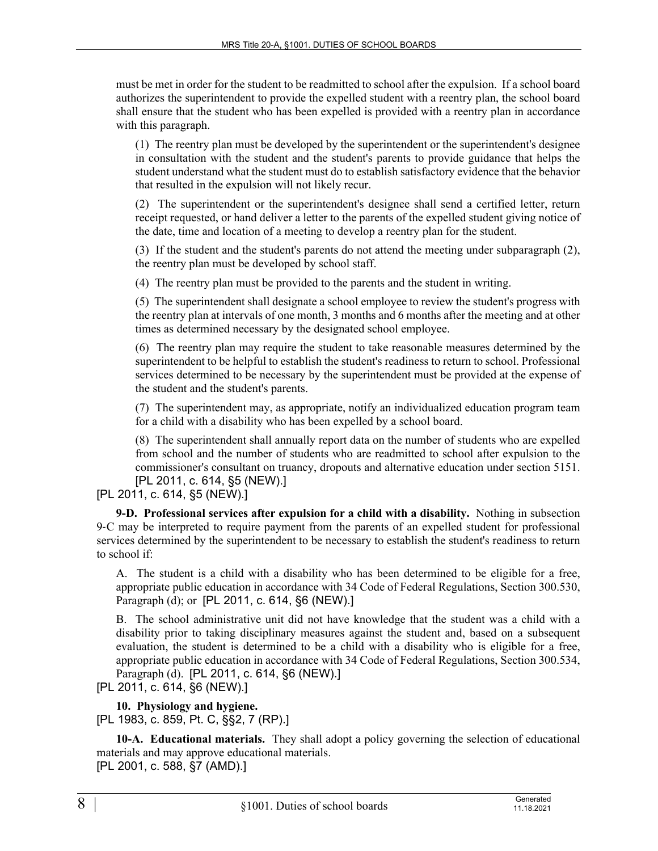must be met in order for the student to be readmitted to school after the expulsion. If a school board authorizes the superintendent to provide the expelled student with a reentry plan, the school board shall ensure that the student who has been expelled is provided with a reentry plan in accordance with this paragraph.

(1) The reentry plan must be developed by the superintendent or the superintendent's designee in consultation with the student and the student's parents to provide guidance that helps the student understand what the student must do to establish satisfactory evidence that the behavior that resulted in the expulsion will not likely recur.

(2) The superintendent or the superintendent's designee shall send a certified letter, return receipt requested, or hand deliver a letter to the parents of the expelled student giving notice of the date, time and location of a meeting to develop a reentry plan for the student.

(3) If the student and the student's parents do not attend the meeting under subparagraph (2), the reentry plan must be developed by school staff.

(4) The reentry plan must be provided to the parents and the student in writing.

(5) The superintendent shall designate a school employee to review the student's progress with the reentry plan at intervals of one month, 3 months and 6 months after the meeting and at other times as determined necessary by the designated school employee.

(6) The reentry plan may require the student to take reasonable measures determined by the superintendent to be helpful to establish the student's readiness to return to school. Professional services determined to be necessary by the superintendent must be provided at the expense of the student and the student's parents.

(7) The superintendent may, as appropriate, notify an individualized education program team for a child with a disability who has been expelled by a school board.

(8) The superintendent shall annually report data on the number of students who are expelled from school and the number of students who are readmitted to school after expulsion to the commissioner's consultant on truancy, dropouts and alternative education under section 5151. [PL 2011, c. 614, §5 (NEW).]

[PL 2011, c. 614, §5 (NEW).]

**9-D. Professional services after expulsion for a child with a disability.** Nothing in subsection 9‑C may be interpreted to require payment from the parents of an expelled student for professional services determined by the superintendent to be necessary to establish the student's readiness to return to school if:

A. The student is a child with a disability who has been determined to be eligible for a free, appropriate public education in accordance with 34 Code of Federal Regulations, Section 300.530, Paragraph (d); or [PL 2011, c. 614, §6 (NEW).]

B. The school administrative unit did not have knowledge that the student was a child with a disability prior to taking disciplinary measures against the student and, based on a subsequent evaluation, the student is determined to be a child with a disability who is eligible for a free, appropriate public education in accordance with 34 Code of Federal Regulations, Section 300.534, Paragraph (d). [PL 2011, c. 614, §6 (NEW).]

[PL 2011, c. 614, §6 (NEW).]

**10. Physiology and hygiene.** 

[PL 1983, c. 859, Pt. C, §§2, 7 (RP).]

**10-A. Educational materials.** They shall adopt a policy governing the selection of educational materials and may approve educational materials. [PL 2001, c. 588, §7 (AMD).]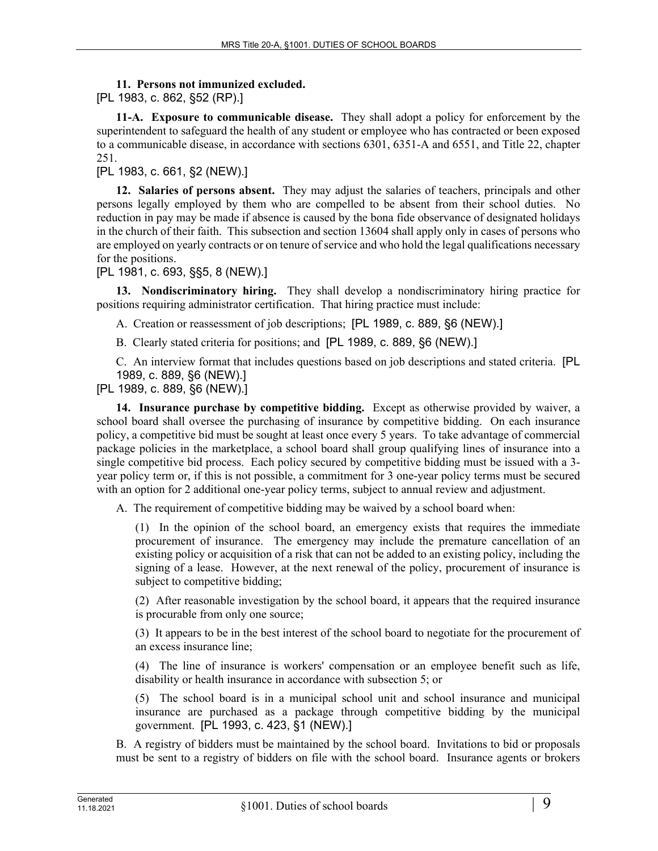## **11. Persons not immunized excluded.**

[PL 1983, c. 862, §52 (RP).]

**11-A. Exposure to communicable disease.** They shall adopt a policy for enforcement by the superintendent to safeguard the health of any student or employee who has contracted or been exposed to a communicable disease, in accordance with sections 6301, 6351-A and 6551, and Title 22, chapter 251.

[PL 1983, c. 661, §2 (NEW).]

**12. Salaries of persons absent.** They may adjust the salaries of teachers, principals and other persons legally employed by them who are compelled to be absent from their school duties. No reduction in pay may be made if absence is caused by the bona fide observance of designated holidays in the church of their faith. This subsection and section 13604 shall apply only in cases of persons who are employed on yearly contracts or on tenure of service and who hold the legal qualifications necessary for the positions.

[PL 1981, c. 693, §§5, 8 (NEW).]

**13. Nondiscriminatory hiring.** They shall develop a nondiscriminatory hiring practice for positions requiring administrator certification. That hiring practice must include:

A. Creation or reassessment of job descriptions; [PL 1989, c. 889, §6 (NEW).]

B. Clearly stated criteria for positions; and [PL 1989, c. 889, §6 (NEW).]

C. An interview format that includes questions based on job descriptions and stated criteria. [PL 1989, c. 889, §6 (NEW).]

[PL 1989, c. 889, §6 (NEW).]

**14. Insurance purchase by competitive bidding.** Except as otherwise provided by waiver, a school board shall oversee the purchasing of insurance by competitive bidding. On each insurance policy, a competitive bid must be sought at least once every 5 years. To take advantage of commercial package policies in the marketplace, a school board shall group qualifying lines of insurance into a single competitive bid process. Each policy secured by competitive bidding must be issued with a 3 year policy term or, if this is not possible, a commitment for 3 one-year policy terms must be secured with an option for 2 additional one-year policy terms, subject to annual review and adjustment.

A. The requirement of competitive bidding may be waived by a school board when:

(1) In the opinion of the school board, an emergency exists that requires the immediate procurement of insurance. The emergency may include the premature cancellation of an existing policy or acquisition of a risk that can not be added to an existing policy, including the signing of a lease. However, at the next renewal of the policy, procurement of insurance is subject to competitive bidding;

(2) After reasonable investigation by the school board, it appears that the required insurance is procurable from only one source;

(3) It appears to be in the best interest of the school board to negotiate for the procurement of an excess insurance line;

(4) The line of insurance is workers' compensation or an employee benefit such as life, disability or health insurance in accordance with subsection 5; or

(5) The school board is in a municipal school unit and school insurance and municipal insurance are purchased as a package through competitive bidding by the municipal government. [PL 1993, c. 423, §1 (NEW).]

B. A registry of bidders must be maintained by the school board. Invitations to bid or proposals must be sent to a registry of bidders on file with the school board. Insurance agents or brokers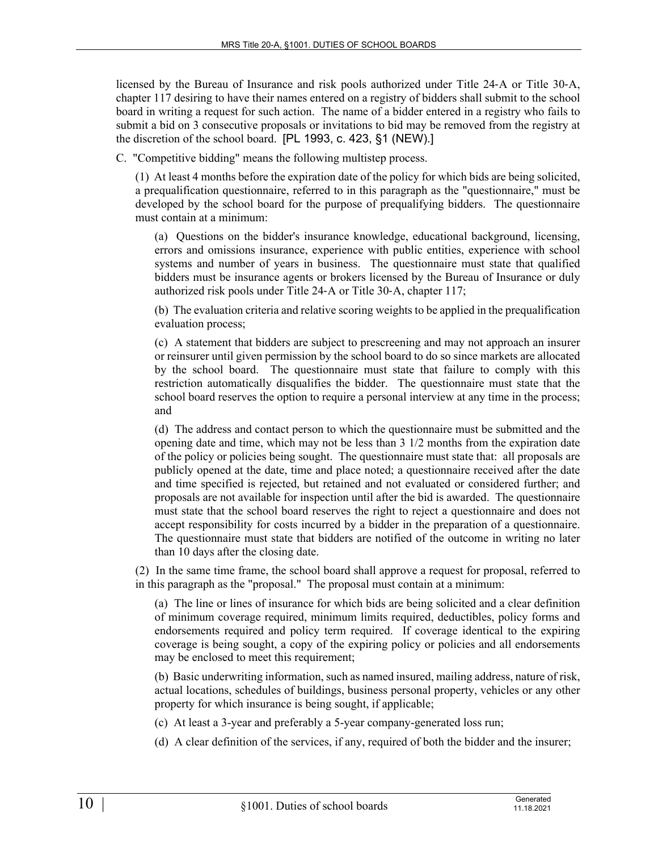licensed by the Bureau of Insurance and risk pools authorized under Title 24‑A or Title 30‑A, chapter 117 desiring to have their names entered on a registry of bidders shall submit to the school board in writing a request for such action. The name of a bidder entered in a registry who fails to submit a bid on 3 consecutive proposals or invitations to bid may be removed from the registry at the discretion of the school board. [PL 1993, c. 423, §1 (NEW).]

C. "Competitive bidding" means the following multistep process.

(1) At least 4 months before the expiration date of the policy for which bids are being solicited, a prequalification questionnaire, referred to in this paragraph as the "questionnaire," must be developed by the school board for the purpose of prequalifying bidders. The questionnaire must contain at a minimum:

(a) Questions on the bidder's insurance knowledge, educational background, licensing, errors and omissions insurance, experience with public entities, experience with school systems and number of years in business. The questionnaire must state that qualified bidders must be insurance agents or brokers licensed by the Bureau of Insurance or duly authorized risk pools under Title 24‑A or Title 30‑A, chapter 117;

(b) The evaluation criteria and relative scoring weights to be applied in the prequalification evaluation process;

(c) A statement that bidders are subject to prescreening and may not approach an insurer or reinsurer until given permission by the school board to do so since markets are allocated by the school board. The questionnaire must state that failure to comply with this restriction automatically disqualifies the bidder. The questionnaire must state that the school board reserves the option to require a personal interview at any time in the process; and

(d) The address and contact person to which the questionnaire must be submitted and the opening date and time, which may not be less than 3 1/2 months from the expiration date of the policy or policies being sought. The questionnaire must state that: all proposals are publicly opened at the date, time and place noted; a questionnaire received after the date and time specified is rejected, but retained and not evaluated or considered further; and proposals are not available for inspection until after the bid is awarded. The questionnaire must state that the school board reserves the right to reject a questionnaire and does not accept responsibility for costs incurred by a bidder in the preparation of a questionnaire. The questionnaire must state that bidders are notified of the outcome in writing no later than 10 days after the closing date.

(2) In the same time frame, the school board shall approve a request for proposal, referred to in this paragraph as the "proposal." The proposal must contain at a minimum:

(a) The line or lines of insurance for which bids are being solicited and a clear definition of minimum coverage required, minimum limits required, deductibles, policy forms and endorsements required and policy term required. If coverage identical to the expiring coverage is being sought, a copy of the expiring policy or policies and all endorsements may be enclosed to meet this requirement;

(b) Basic underwriting information, such as named insured, mailing address, nature of risk, actual locations, schedules of buildings, business personal property, vehicles or any other property for which insurance is being sought, if applicable;

(c) At least a 3-year and preferably a 5-year company-generated loss run;

(d) A clear definition of the services, if any, required of both the bidder and the insurer;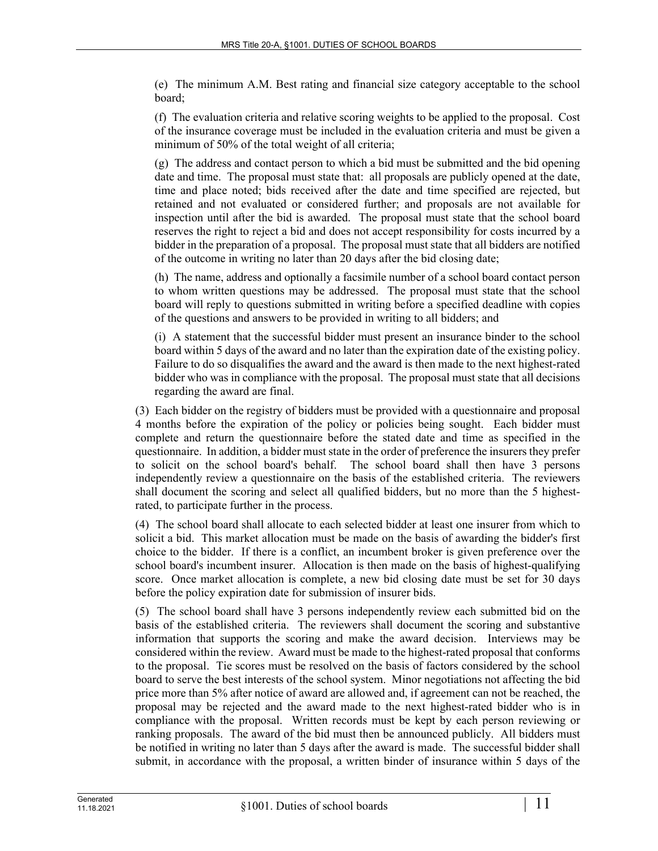(e) The minimum A.M. Best rating and financial size category acceptable to the school board;

(f) The evaluation criteria and relative scoring weights to be applied to the proposal. Cost of the insurance coverage must be included in the evaluation criteria and must be given a minimum of 50% of the total weight of all criteria;

(g) The address and contact person to which a bid must be submitted and the bid opening date and time. The proposal must state that: all proposals are publicly opened at the date, time and place noted; bids received after the date and time specified are rejected, but retained and not evaluated or considered further; and proposals are not available for inspection until after the bid is awarded. The proposal must state that the school board reserves the right to reject a bid and does not accept responsibility for costs incurred by a bidder in the preparation of a proposal. The proposal must state that all bidders are notified of the outcome in writing no later than 20 days after the bid closing date;

(h) The name, address and optionally a facsimile number of a school board contact person to whom written questions may be addressed. The proposal must state that the school board will reply to questions submitted in writing before a specified deadline with copies of the questions and answers to be provided in writing to all bidders; and

(i) A statement that the successful bidder must present an insurance binder to the school board within 5 days of the award and no later than the expiration date of the existing policy. Failure to do so disqualifies the award and the award is then made to the next highest-rated bidder who was in compliance with the proposal. The proposal must state that all decisions regarding the award are final.

(3) Each bidder on the registry of bidders must be provided with a questionnaire and proposal 4 months before the expiration of the policy or policies being sought. Each bidder must complete and return the questionnaire before the stated date and time as specified in the questionnaire. In addition, a bidder must state in the order of preference the insurers they prefer to solicit on the school board's behalf. The school board shall then have 3 persons independently review a questionnaire on the basis of the established criteria. The reviewers shall document the scoring and select all qualified bidders, but no more than the 5 highestrated, to participate further in the process.

(4) The school board shall allocate to each selected bidder at least one insurer from which to solicit a bid. This market allocation must be made on the basis of awarding the bidder's first choice to the bidder. If there is a conflict, an incumbent broker is given preference over the school board's incumbent insurer. Allocation is then made on the basis of highest-qualifying score. Once market allocation is complete, a new bid closing date must be set for 30 days before the policy expiration date for submission of insurer bids.

(5) The school board shall have 3 persons independently review each submitted bid on the basis of the established criteria. The reviewers shall document the scoring and substantive information that supports the scoring and make the award decision. Interviews may be considered within the review. Award must be made to the highest-rated proposal that conforms to the proposal. Tie scores must be resolved on the basis of factors considered by the school board to serve the best interests of the school system. Minor negotiations not affecting the bid price more than 5% after notice of award are allowed and, if agreement can not be reached, the proposal may be rejected and the award made to the next highest-rated bidder who is in compliance with the proposal. Written records must be kept by each person reviewing or ranking proposals. The award of the bid must then be announced publicly. All bidders must be notified in writing no later than 5 days after the award is made. The successful bidder shall submit, in accordance with the proposal, a written binder of insurance within 5 days of the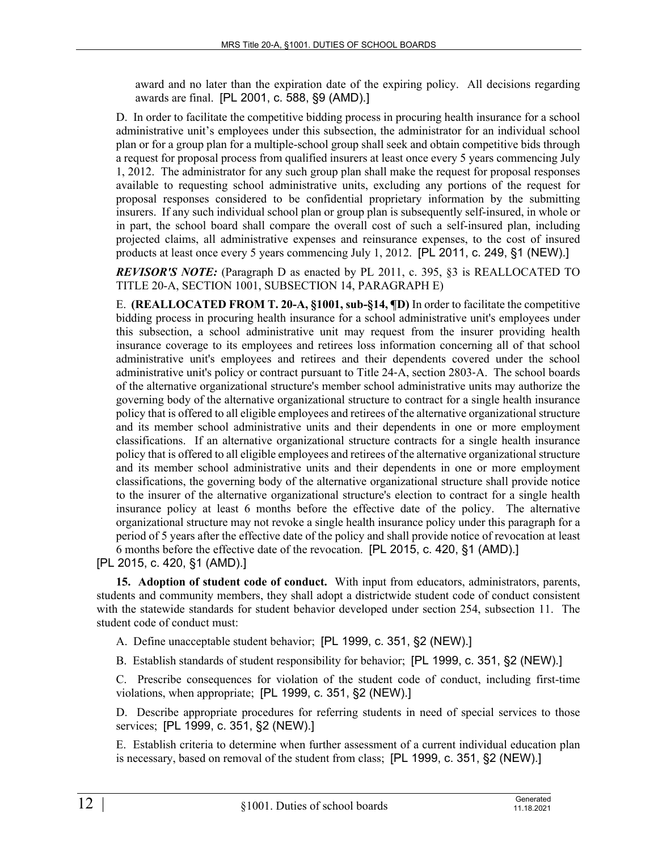award and no later than the expiration date of the expiring policy. All decisions regarding awards are final. [PL 2001, c. 588, §9 (AMD).]

D. In order to facilitate the competitive bidding process in procuring health insurance for a school administrative unit's employees under this subsection, the administrator for an individual school plan or for a group plan for a multiple-school group shall seek and obtain competitive bids through a request for proposal process from qualified insurers at least once every 5 years commencing July 1, 2012. The administrator for any such group plan shall make the request for proposal responses available to requesting school administrative units, excluding any portions of the request for proposal responses considered to be confidential proprietary information by the submitting insurers. If any such individual school plan or group plan is subsequently self-insured, in whole or in part, the school board shall compare the overall cost of such a self-insured plan, including projected claims, all administrative expenses and reinsurance expenses, to the cost of insured products at least once every 5 years commencing July 1, 2012. [PL 2011, c. 249, §1 (NEW).]

*REVISOR'S NOTE:* (Paragraph D as enacted by PL 2011, c. 395, §3 is REALLOCATED TO TITLE 20-A, SECTION 1001, SUBSECTION 14, PARAGRAPH E)

E. **(REALLOCATED FROM T. 20-A, §1001, sub-§14, ¶D)** In order to facilitate the competitive bidding process in procuring health insurance for a school administrative unit's employees under this subsection, a school administrative unit may request from the insurer providing health insurance coverage to its employees and retirees loss information concerning all of that school administrative unit's employees and retirees and their dependents covered under the school administrative unit's policy or contract pursuant to Title 24‑A, section 2803‑A. The school boards of the alternative organizational structure's member school administrative units may authorize the governing body of the alternative organizational structure to contract for a single health insurance policy that is offered to all eligible employees and retirees of the alternative organizational structure and its member school administrative units and their dependents in one or more employment classifications. If an alternative organizational structure contracts for a single health insurance policy that is offered to all eligible employees and retirees of the alternative organizational structure and its member school administrative units and their dependents in one or more employment classifications, the governing body of the alternative organizational structure shall provide notice to the insurer of the alternative organizational structure's election to contract for a single health insurance policy at least 6 months before the effective date of the policy. The alternative organizational structure may not revoke a single health insurance policy under this paragraph for a period of 5 years after the effective date of the policy and shall provide notice of revocation at least 6 months before the effective date of the revocation. [PL 2015, c. 420, §1 (AMD).]

[PL 2015, c. 420, §1 (AMD).]

**15. Adoption of student code of conduct.** With input from educators, administrators, parents, students and community members, they shall adopt a districtwide student code of conduct consistent with the statewide standards for student behavior developed under section 254, subsection 11. The student code of conduct must:

A. Define unacceptable student behavior; [PL 1999, c. 351, §2 (NEW).]

B. Establish standards of student responsibility for behavior; [PL 1999, c. 351, §2 (NEW).]

C. Prescribe consequences for violation of the student code of conduct, including first-time violations, when appropriate; [PL 1999, c. 351, §2 (NEW).]

D. Describe appropriate procedures for referring students in need of special services to those services; [PL 1999, c. 351, §2 (NEW).]

E. Establish criteria to determine when further assessment of a current individual education plan is necessary, based on removal of the student from class; [PL 1999, c. 351, §2 (NEW).]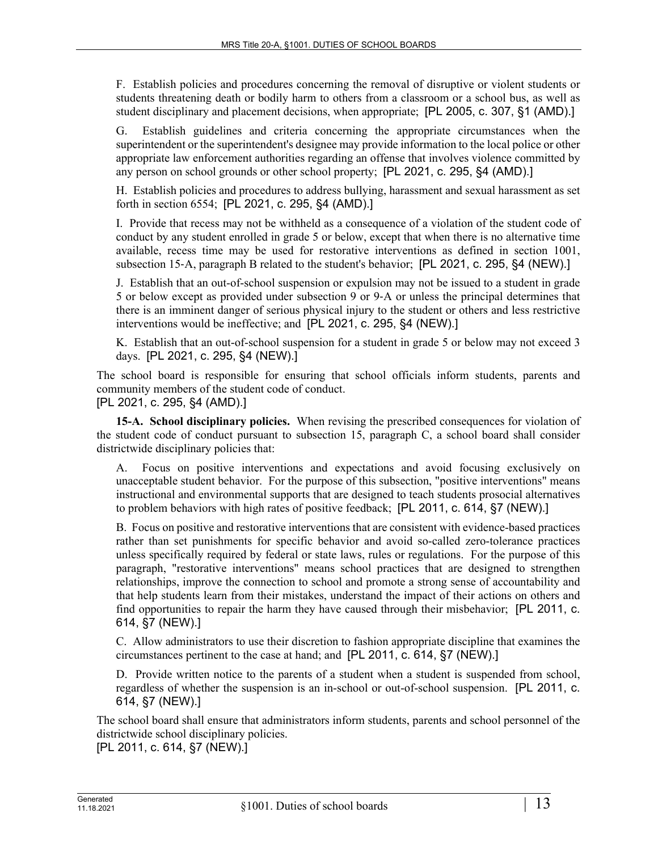F. Establish policies and procedures concerning the removal of disruptive or violent students or students threatening death or bodily harm to others from a classroom or a school bus, as well as student disciplinary and placement decisions, when appropriate; [PL 2005, c. 307, §1 (AMD).]

G. Establish guidelines and criteria concerning the appropriate circumstances when the superintendent or the superintendent's designee may provide information to the local police or other appropriate law enforcement authorities regarding an offense that involves violence committed by any person on school grounds or other school property; [PL 2021, c. 295, §4 (AMD).]

H. Establish policies and procedures to address bullying, harassment and sexual harassment as set forth in section 6554; [PL 2021, c. 295, §4 (AMD).]

I. Provide that recess may not be withheld as a consequence of a violation of the student code of conduct by any student enrolled in grade 5 or below, except that when there is no alternative time available, recess time may be used for restorative interventions as defined in section 1001, subsection 15‑A, paragraph B related to the student's behavior; [PL 2021, c. 295, §4 (NEW).]

J. Establish that an out-of-school suspension or expulsion may not be issued to a student in grade 5 or below except as provided under subsection 9 or 9‑A or unless the principal determines that there is an imminent danger of serious physical injury to the student or others and less restrictive interventions would be ineffective; and [PL 2021, c. 295, §4 (NEW).]

K. Establish that an out-of-school suspension for a student in grade 5 or below may not exceed 3 days. [PL 2021, c. 295, §4 (NEW).]

The school board is responsible for ensuring that school officials inform students, parents and community members of the student code of conduct. [PL 2021, c. 295, §4 (AMD).]

**15-A. School disciplinary policies.** When revising the prescribed consequences for violation of the student code of conduct pursuant to subsection 15, paragraph C, a school board shall consider districtwide disciplinary policies that:

Focus on positive interventions and expectations and avoid focusing exclusively on unacceptable student behavior. For the purpose of this subsection, "positive interventions" means instructional and environmental supports that are designed to teach students prosocial alternatives to problem behaviors with high rates of positive feedback; [PL 2011, c. 614, §7 (NEW).]

B. Focus on positive and restorative interventions that are consistent with evidence-based practices rather than set punishments for specific behavior and avoid so-called zero-tolerance practices unless specifically required by federal or state laws, rules or regulations. For the purpose of this paragraph, "restorative interventions" means school practices that are designed to strengthen relationships, improve the connection to school and promote a strong sense of accountability and that help students learn from their mistakes, understand the impact of their actions on others and find opportunities to repair the harm they have caused through their misbehavior; [PL 2011, c. 614, §7 (NEW).]

C. Allow administrators to use their discretion to fashion appropriate discipline that examines the circumstances pertinent to the case at hand; and [PL 2011, c. 614, §7 (NEW).]

D. Provide written notice to the parents of a student when a student is suspended from school, regardless of whether the suspension is an in-school or out-of-school suspension. [PL 2011, c. 614, §7 (NEW).]

The school board shall ensure that administrators inform students, parents and school personnel of the districtwide school disciplinary policies.

[PL 2011, c. 614, §7 (NEW).]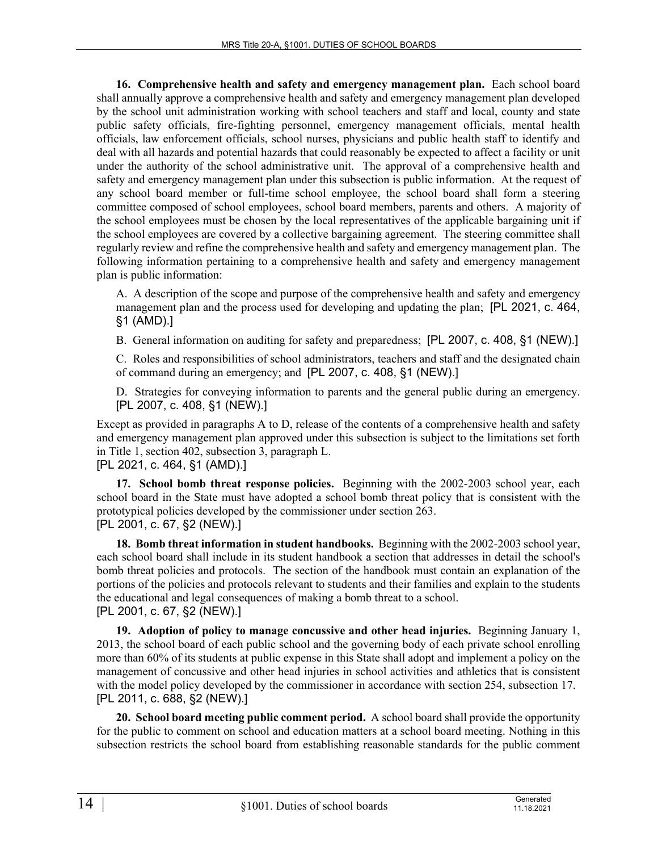**16. Comprehensive health and safety and emergency management plan.** Each school board shall annually approve a comprehensive health and safety and emergency management plan developed by the school unit administration working with school teachers and staff and local, county and state public safety officials, fire-fighting personnel, emergency management officials, mental health officials, law enforcement officials, school nurses, physicians and public health staff to identify and deal with all hazards and potential hazards that could reasonably be expected to affect a facility or unit under the authority of the school administrative unit. The approval of a comprehensive health and safety and emergency management plan under this subsection is public information. At the request of any school board member or full-time school employee, the school board shall form a steering committee composed of school employees, school board members, parents and others. A majority of the school employees must be chosen by the local representatives of the applicable bargaining unit if the school employees are covered by a collective bargaining agreement. The steering committee shall regularly review and refine the comprehensive health and safety and emergency management plan. The following information pertaining to a comprehensive health and safety and emergency management plan is public information:

A. A description of the scope and purpose of the comprehensive health and safety and emergency management plan and the process used for developing and updating the plan; [PL 2021, c. 464, §1 (AMD).]

B. General information on auditing for safety and preparedness; [PL 2007, c. 408, §1 (NEW).]

C. Roles and responsibilities of school administrators, teachers and staff and the designated chain of command during an emergency; and [PL 2007, c. 408, §1 (NEW).]

D. Strategies for conveying information to parents and the general public during an emergency. [PL 2007, c. 408, §1 (NEW).]

Except as provided in paragraphs A to D, release of the contents of a comprehensive health and safety and emergency management plan approved under this subsection is subject to the limitations set forth in Title 1, section 402, subsection 3, paragraph L.

[PL 2021, c. 464, §1 (AMD).]

**17. School bomb threat response policies.** Beginning with the 2002-2003 school year, each school board in the State must have adopted a school bomb threat policy that is consistent with the prototypical policies developed by the commissioner under section 263. [PL 2001, c. 67, §2 (NEW).]

**18. Bomb threat information in student handbooks.** Beginning with the 2002-2003 school year, each school board shall include in its student handbook a section that addresses in detail the school's bomb threat policies and protocols. The section of the handbook must contain an explanation of the portions of the policies and protocols relevant to students and their families and explain to the students the educational and legal consequences of making a bomb threat to a school. [PL 2001, c. 67, §2 (NEW).]

**19. Adoption of policy to manage concussive and other head injuries.** Beginning January 1, 2013, the school board of each public school and the governing body of each private school enrolling more than 60% of its students at public expense in this State shall adopt and implement a policy on the management of concussive and other head injuries in school activities and athletics that is consistent with the model policy developed by the commissioner in accordance with section 254, subsection 17. [PL 2011, c. 688, §2 (NEW).]

**20. School board meeting public comment period.** A school board shall provide the opportunity for the public to comment on school and education matters at a school board meeting. Nothing in this subsection restricts the school board from establishing reasonable standards for the public comment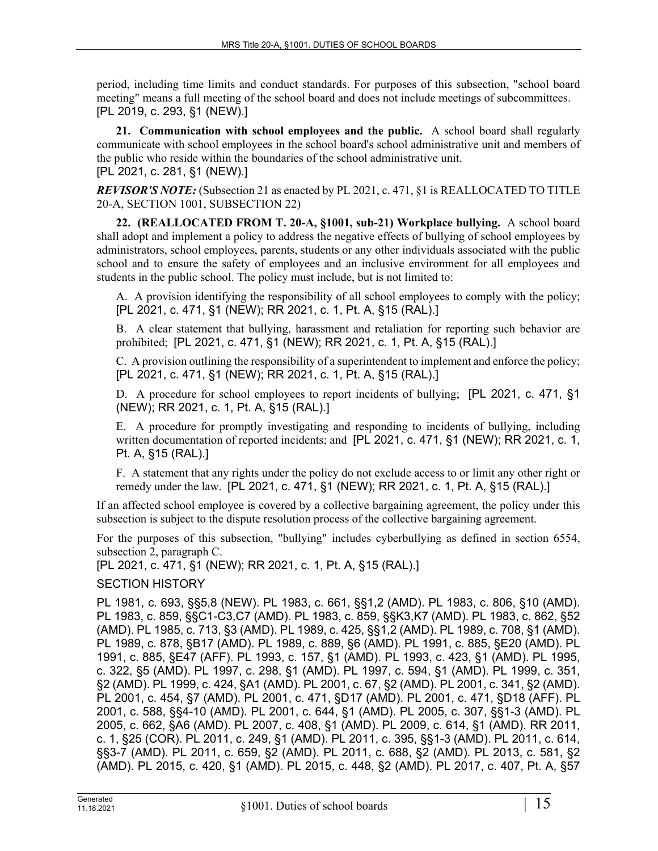period, including time limits and conduct standards. For purposes of this subsection, "school board meeting" means a full meeting of the school board and does not include meetings of subcommittees. [PL 2019, c. 293, §1 (NEW).]

**21. Communication with school employees and the public.** A school board shall regularly communicate with school employees in the school board's school administrative unit and members of the public who reside within the boundaries of the school administrative unit. [PL 2021, c. 281, §1 (NEW).]

*REVISOR'S NOTE:* (Subsection 21 as enacted by PL 2021, c. 471, §1 is REALLOCATED TO TITLE 20-A, SECTION 1001, SUBSECTION 22)

**22. (REALLOCATED FROM T. 20-A, §1001, sub-21) Workplace bullying.** A school board shall adopt and implement a policy to address the negative effects of bullying of school employees by administrators, school employees, parents, students or any other individuals associated with the public school and to ensure the safety of employees and an inclusive environment for all employees and students in the public school. The policy must include, but is not limited to:

A. A provision identifying the responsibility of all school employees to comply with the policy; [PL 2021, c. 471, §1 (NEW); RR 2021, c. 1, Pt. A, §15 (RAL).]

B. A clear statement that bullying, harassment and retaliation for reporting such behavior are prohibited; [PL 2021, c. 471, §1 (NEW); RR 2021, c. 1, Pt. A, §15 (RAL).]

C. A provision outlining the responsibility of a superintendent to implement and enforce the policy; [PL 2021, c. 471, §1 (NEW); RR 2021, c. 1, Pt. A, §15 (RAL).]

D. A procedure for school employees to report incidents of bullying; [PL 2021, c. 471, §1 (NEW); RR 2021, c. 1, Pt. A, §15 (RAL).]

E. A procedure for promptly investigating and responding to incidents of bullying, including written documentation of reported incidents; and [PL 2021, c. 471, §1 (NEW); RR 2021, c. 1, Pt. A, §15 (RAL).]

F. A statement that any rights under the policy do not exclude access to or limit any other right or remedy under the law. [PL 2021, c. 471, §1 (NEW); RR 2021, c. 1, Pt. A, §15 (RAL).]

If an affected school employee is covered by a collective bargaining agreement, the policy under this subsection is subject to the dispute resolution process of the collective bargaining agreement.

For the purposes of this subsection, "bullying" includes cyberbullying as defined in section 6554, subsection 2, paragraph C.

[PL 2021, c. 471, §1 (NEW); RR 2021, c. 1, Pt. A, §15 (RAL).]

## SECTION HISTORY

PL 1981, c. 693, §§5,8 (NEW). PL 1983, c. 661, §§1,2 (AMD). PL 1983, c. 806, §10 (AMD). PL 1983, c. 859, §§C1-C3,C7 (AMD). PL 1983, c. 859, §§K3,K7 (AMD). PL 1983, c. 862, §52 (AMD). PL 1985, c. 713, §3 (AMD). PL 1989, c. 425, §§1,2 (AMD). PL 1989, c. 708, §1 (AMD). PL 1989, c. 878, §B17 (AMD). PL 1989, c. 889, §6 (AMD). PL 1991, c. 885, §E20 (AMD). PL 1991, c. 885, §E47 (AFF). PL 1993, c. 157, §1 (AMD). PL 1993, c. 423, §1 (AMD). PL 1995, c. 322, §5 (AMD). PL 1997, c. 298, §1 (AMD). PL 1997, c. 594, §1 (AMD). PL 1999, c. 351, §2 (AMD). PL 1999, c. 424, §A1 (AMD). PL 2001, c. 67, §2 (AMD). PL 2001, c. 341, §2 (AMD). PL 2001, c. 454, §7 (AMD). PL 2001, c. 471, §D17 (AMD). PL 2001, c. 471, §D18 (AFF). PL 2001, c. 588, §§4-10 (AMD). PL 2001, c. 644, §1 (AMD). PL 2005, c. 307, §§1-3 (AMD). PL 2005, c. 662, §A6 (AMD). PL 2007, c. 408, §1 (AMD). PL 2009, c. 614, §1 (AMD). RR 2011, c. 1, §25 (COR). PL 2011, c. 249, §1 (AMD). PL 2011, c. 395, §§1-3 (AMD). PL 2011, c. 614, §§3-7 (AMD). PL 2011, c. 659, §2 (AMD). PL 2011, c. 688, §2 (AMD). PL 2013, c. 581, §2 (AMD). PL 2015, c. 420, §1 (AMD). PL 2015, c. 448, §2 (AMD). PL 2017, c. 407, Pt. A, §57